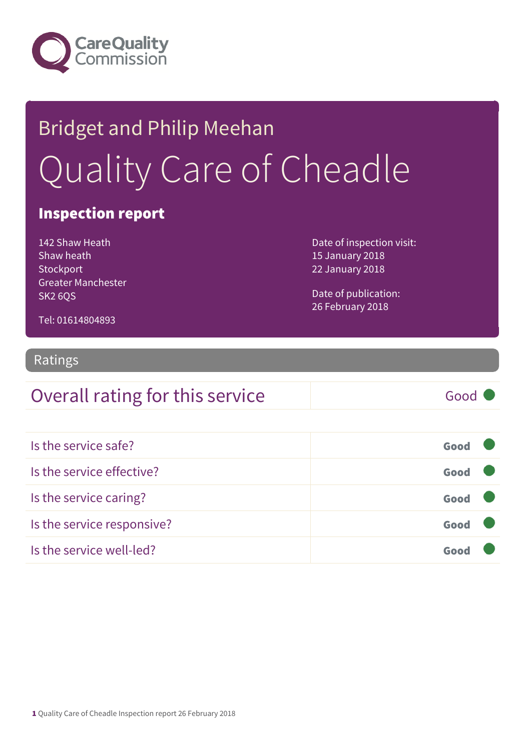

# Bridget and Philip Meehan Quality Care of Cheadle

## Inspection report

142 Shaw Heath Shaw heath **Stockport** Greater Manchester SK2 6QS

Date of inspection visit: 15 January 2018 22 January 2018

Date of publication: 26 February 2018

#### Tel: 01614804893

## Ratings

# Overall rating for this service Good Is the service safe? Good Is the service effective? Contact the service effective? Is the service caring? Good Is the service responsive? Contact the service responsive? Is the service well-led? Good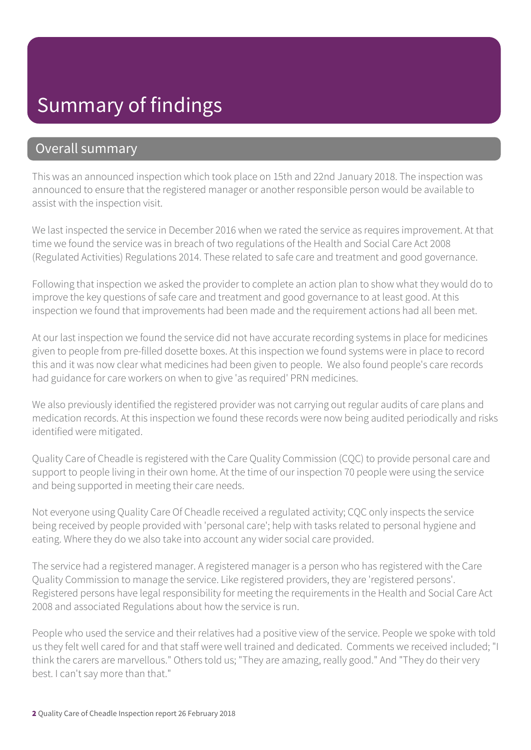## Summary of findings

## Overall summary

This was an announced inspection which took place on 15th and 22nd January 2018. The inspection was announced to ensure that the registered manager or another responsible person would be available to assist with the inspection visit.

We last inspected the service in December 2016 when we rated the service as requires improvement. At that time we found the service was in breach of two regulations of the Health and Social Care Act 2008 (Regulated Activities) Regulations 2014. These related to safe care and treatment and good governance.

Following that inspection we asked the provider to complete an action plan to show what they would do to improve the key questions of safe care and treatment and good governance to at least good. At this inspection we found that improvements had been made and the requirement actions had all been met.

At our last inspection we found the service did not have accurate recording systems in place for medicines given to people from pre-filled dosette boxes. At this inspection we found systems were in place to record this and it was now clear what medicines had been given to people. We also found people's care records had guidance for care workers on when to give 'as required' PRN medicines.

We also previously identified the registered provider was not carrying out regular audits of care plans and medication records. At this inspection we found these records were now being audited periodically and risks identified were mitigated.

Quality Care of Cheadle is registered with the Care Quality Commission (CQC) to provide personal care and support to people living in their own home. At the time of our inspection 70 people were using the service and being supported in meeting their care needs.

Not everyone using Quality Care Of Cheadle received a regulated activity; CQC only inspects the service being received by people provided with 'personal care'; help with tasks related to personal hygiene and eating. Where they do we also take into account any wider social care provided.

The service had a registered manager. A registered manager is a person who has registered with the Care Quality Commission to manage the service. Like registered providers, they are 'registered persons'. Registered persons have legal responsibility for meeting the requirements in the Health and Social Care Act 2008 and associated Regulations about how the service is run.

People who used the service and their relatives had a positive view of the service. People we spoke with told us they felt well cared for and that staff were well trained and dedicated. Comments we received included; "I think the carers are marvellous." Others told us; "They are amazing, really good." And "They do their very best. I can't say more than that."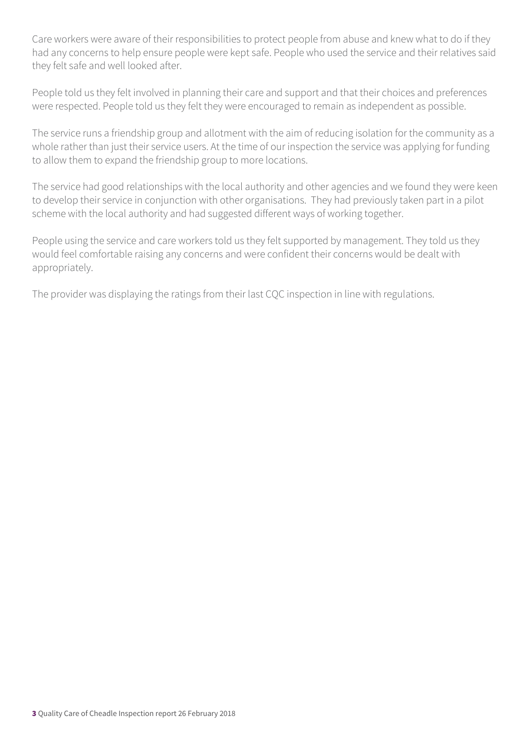Care workers were aware of their responsibilities to protect people from abuse and knew what to do if they had any concerns to help ensure people were kept safe. People who used the service and their relatives said they felt safe and well looked after.

People told us they felt involved in planning their care and support and that their choices and preferences were respected. People told us they felt they were encouraged to remain as independent as possible.

The service runs a friendship group and allotment with the aim of reducing isolation for the community as a whole rather than just their service users. At the time of our inspection the service was applying for funding to allow them to expand the friendship group to more locations.

The service had good relationships with the local authority and other agencies and we found they were keen to develop their service in conjunction with other organisations. They had previously taken part in a pilot scheme with the local authority and had suggested different ways of working together.

People using the service and care workers told us they felt supported by management. They told us they would feel comfortable raising any concerns and were confident their concerns would be dealt with appropriately.

The provider was displaying the ratings from their last CQC inspection in line with regulations.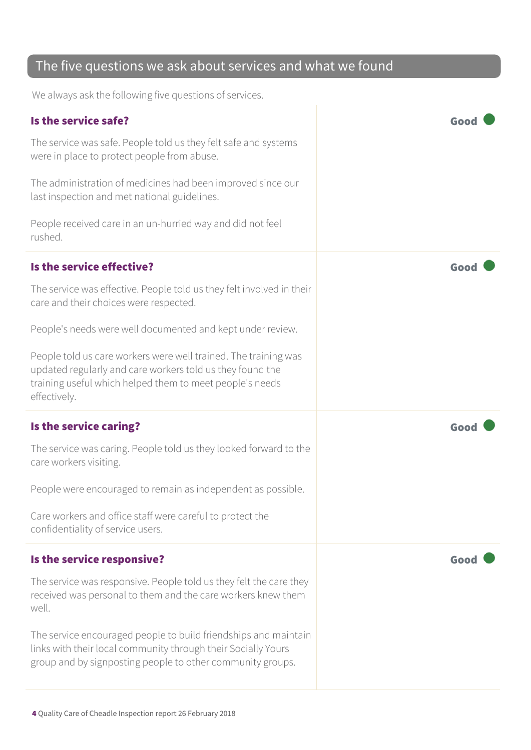## The five questions we ask about services and what we found

We always ask the following five questions of services.

| Is the service safe?                                                                                                                                                                                     |      |
|----------------------------------------------------------------------------------------------------------------------------------------------------------------------------------------------------------|------|
| The service was safe. People told us they felt safe and systems<br>were in place to protect people from abuse.                                                                                           |      |
| The administration of medicines had been improved since our<br>last inspection and met national guidelines.                                                                                              |      |
| People received care in an un-hurried way and did not feel<br>rushed.                                                                                                                                    |      |
| Is the service effective?                                                                                                                                                                                | Goo  |
| The service was effective. People told us they felt involved in their<br>care and their choices were respected.                                                                                          |      |
| People's needs were well documented and kept under review.                                                                                                                                               |      |
| People told us care workers were well trained. The training was<br>updated regularly and care workers told us they found the<br>training useful which helped them to meet people's needs<br>effectively. |      |
| Is the service caring?                                                                                                                                                                                   | Goo  |
| The service was caring. People told us they looked forward to the<br>care workers visiting.                                                                                                              |      |
| People were encouraged to remain as independent as possible.                                                                                                                                             |      |
| Care workers and office staff were careful to protect the<br>confidentiality of service users.                                                                                                           |      |
| Is the service responsive?                                                                                                                                                                               | Good |
| The service was responsive. People told us they felt the care they<br>received was personal to them and the care workers knew them<br>well.                                                              |      |
| The service encouraged people to build friendships and maintain<br>links with their local community through their Socially Yours<br>group and by signposting people to other community groups.           |      |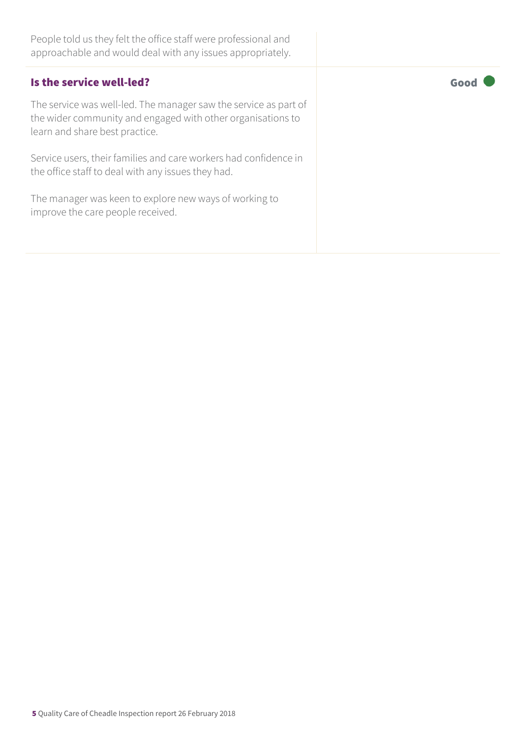People told us they felt the office staff were professional and approachable and would deal with any issues appropriately.

The service was well-led. The manager saw the service as part of the wider community and engaged with other organisations to learn and share best practice.

Service users, their families and care workers had confidence in the office staff to deal with any issues they had.

The manager was keen to explore new ways of working to improve the care people received.

Is the service well-led?  $\qquad \qquad$   $\qquad \qquad$   $\qquad \qquad$   $\qquad \qquad$   $\qquad \qquad$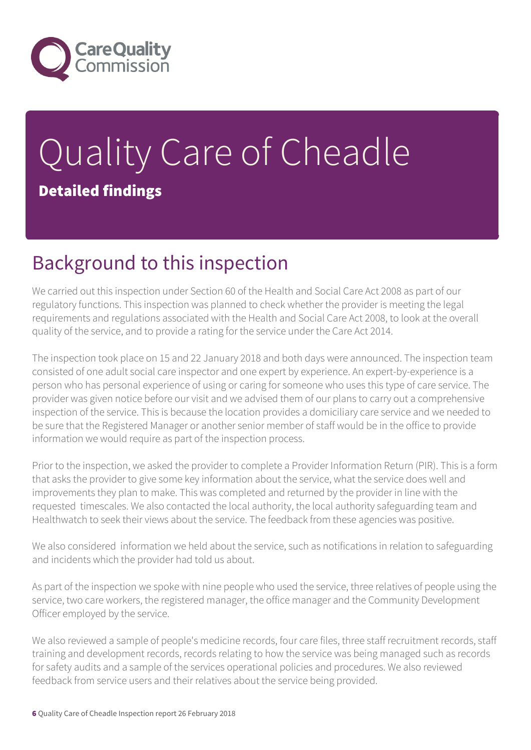

# Quality Care of Cheadle Detailed findings

# Background to this inspection

We carried out this inspection under Section 60 of the Health and Social Care Act 2008 as part of our regulatory functions. This inspection was planned to check whether the provider is meeting the legal requirements and regulations associated with the Health and Social Care Act 2008, to look at the overall quality of the service, and to provide a rating for the service under the Care Act 2014.

The inspection took place on 15 and 22 January 2018 and both days were announced. The inspection team consisted of one adult social care inspector and one expert by experience. An expert-by-experience is a person who has personal experience of using or caring for someone who uses this type of care service. The provider was given notice before our visit and we advised them of our plans to carry out a comprehensive inspection of the service. This is because the location provides a domiciliary care service and we needed to be sure that the Registered Manager or another senior member of staff would be in the office to provide information we would require as part of the inspection process.

Prior to the inspection, we asked the provider to complete a Provider Information Return (PIR). This is a form that asks the provider to give some key information about the service, what the service does well and improvements they plan to make. This was completed and returned by the provider in line with the requested timescales. We also contacted the local authority, the local authority safeguarding team and Healthwatch to seek their views about the service. The feedback from these agencies was positive.

We also considered information we held about the service, such as notifications in relation to safeguarding and incidents which the provider had told us about.

As part of the inspection we spoke with nine people who used the service, three relatives of people using the service, two care workers, the registered manager, the office manager and the Community Development Officer employed by the service.

We also reviewed a sample of people's medicine records, four care files, three staff recruitment records, staff training and development records, records relating to how the service was being managed such as records for safety audits and a sample of the services operational policies and procedures. We also reviewed feedback from service users and their relatives about the service being provided.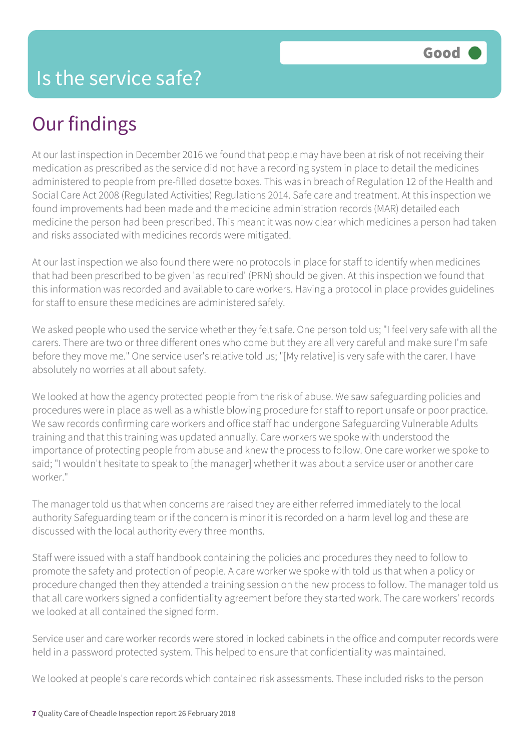## Our findings

At our last inspection in December 2016 we found that people may have been at risk of not receiving their medication as prescribed as the service did not have a recording system in place to detail the medicines administered to people from pre-filled dosette boxes. This was in breach of Regulation 12 of the Health and Social Care Act 2008 (Regulated Activities) Regulations 2014. Safe care and treatment. At this inspection we found improvements had been made and the medicine administration records (MAR) detailed each medicine the person had been prescribed. This meant it was now clear which medicines a person had taken and risks associated with medicines records were mitigated.

At our last inspection we also found there were no protocols in place for staff to identify when medicines that had been prescribed to be given 'as required' (PRN) should be given. At this inspection we found that this information was recorded and available to care workers. Having a protocol in place provides guidelines for staff to ensure these medicines are administered safely.

We asked people who used the service whether they felt safe. One person told us; "I feel very safe with all the carers. There are two or three different ones who come but they are all very careful and make sure I'm safe before they move me." One service user's relative told us; "[My relative] is very safe with the carer. I have absolutely no worries at all about safety.

We looked at how the agency protected people from the risk of abuse. We saw safeguarding policies and procedures were in place as well as a whistle blowing procedure for staff to report unsafe or poor practice. We saw records confirming care workers and office staff had undergone Safeguarding Vulnerable Adults training and that this training was updated annually. Care workers we spoke with understood the importance of protecting people from abuse and knew the process to follow. One care worker we spoke to said; "I wouldn't hesitate to speak to [the manager] whether it was about a service user or another care worker."

The manager told us that when concerns are raised they are either referred immediately to the local authority Safeguarding team or if the concern is minor it is recorded on a harm level log and these are discussed with the local authority every three months.

Staff were issued with a staff handbook containing the policies and procedures they need to follow to promote the safety and protection of people. A care worker we spoke with told us that when a policy or procedure changed then they attended a training session on the new process to follow. The manager told us that all care workers signed a confidentiality agreement before they started work. The care workers' records we looked at all contained the signed form.

Service user and care worker records were stored in locked cabinets in the office and computer records were held in a password protected system. This helped to ensure that confidentiality was maintained.

We looked at people's care records which contained risk assessments. These included risks to the person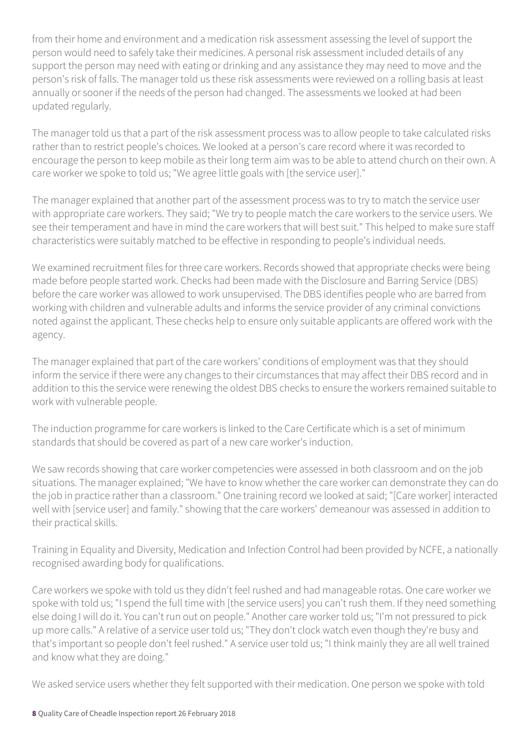from their home and environment and a medication risk assessment assessing the level of support the person would need to safely take their medicines. A personal risk assessment included details of any support the person may need with eating or drinking and any assistance they may need to move and the person's risk of falls. The manager told us these risk assessments were reviewed on a rolling basis at least annually or sooner if the needs of the person had changed. The assessments we looked at had been updated regularly.

The manager told us that a part of the risk assessment process was to allow people to take calculated risks rather than to restrict people's choices. We looked at a person's care record where it was recorded to encourage the person to keep mobile as their long term aim was to be able to attend church on their own. A care worker we spoke to told us; "We agree little goals with [the service user]."

The manager explained that another part of the assessment process was to try to match the service user with appropriate care workers. They said; "We try to people match the care workers to the service users. We see their temperament and have in mind the care workers that will best suit." This helped to make sure staff characteristics were suitably matched to be effective in responding to people's individual needs.

We examined recruitment files for three care workers. Records showed that appropriate checks were being made before people started work. Checks had been made with the Disclosure and Barring Service (DBS) before the care worker was allowed to work unsupervised. The DBS identifies people who are barred from working with children and vulnerable adults and informs the service provider of any criminal convictions noted against the applicant. These checks help to ensure only suitable applicants are offered work with the agency.

The manager explained that part of the care workers' conditions of employment was that they should inform the service if there were any changes to their circumstances that may affect their DBS record and in addition to this the service were renewing the oldest DBS checks to ensure the workers remained suitable to work with vulnerable people.

The induction programme for care workers is linked to the Care Certificate which is a set of minimum standards that should be covered as part of a new care worker's induction.

We saw records showing that care worker competencies were assessed in both classroom and on the job situations. The manager explained; "We have to know whether the care worker can demonstrate they can do the job in practice rather than a classroom." One training record we looked at said; "[Care worker] interacted well with [service user] and family." showing that the care workers' demeanour was assessed in addition to their practical skills.

Training in Equality and Diversity, Medication and Infection Control had been provided by NCFE, a nationally recognised awarding body for qualifications.

Care workers we spoke with told us they didn't feel rushed and had manageable rotas. One care worker we spoke with told us; "I spend the full time with [the service users] you can't rush them. If they need something else doing I will do it. You can't run out on people." Another care worker told us; "I'm not pressured to pick up more calls." A relative of a service user told us; "They don't clock watch even though they're busy and that's important so people don't feel rushed." A service user told us; "I think mainly they are all well trained and know what they are doing."

We asked service users whether they felt supported with their medication. One person we spoke with told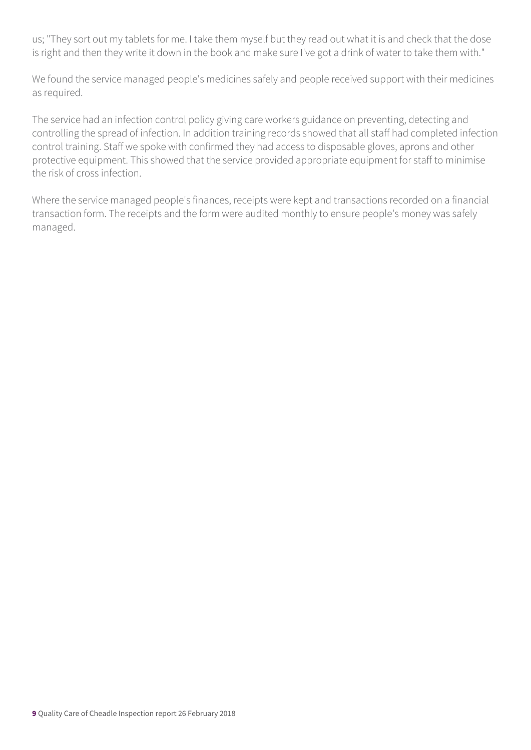us; "They sort out my tablets for me. I take them myself but they read out what it is and check that the dose is right and then they write it down in the book and make sure I've got a drink of water to take them with."

We found the service managed people's medicines safely and people received support with their medicines as required.

The service had an infection control policy giving care workers guidance on preventing, detecting and controlling the spread of infection. In addition training records showed that all staff had completed infection control training. Staff we spoke with confirmed they had access to disposable gloves, aprons and other protective equipment. This showed that the service provided appropriate equipment for staff to minimise the risk of cross infection.

Where the service managed people's finances, receipts were kept and transactions recorded on a financial transaction form. The receipts and the form were audited monthly to ensure people's money was safely managed.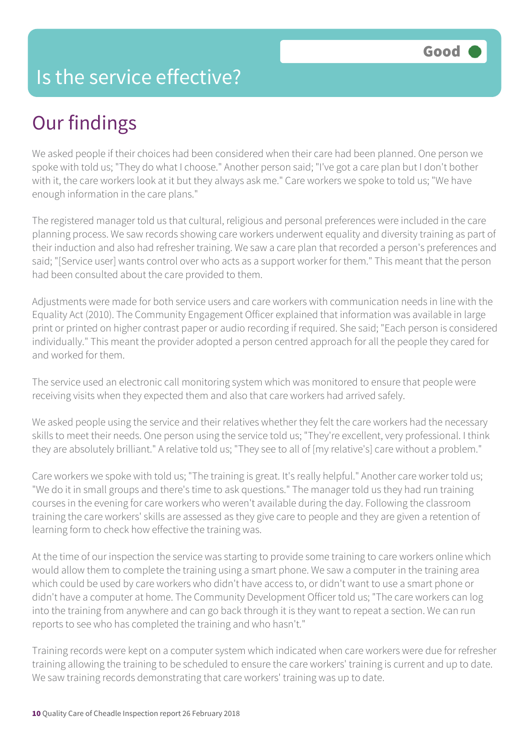## Is the service effective?

## Our findings

We asked people if their choices had been considered when their care had been planned. One person we spoke with told us; "They do what I choose." Another person said; "I've got a care plan but I don't bother with it, the care workers look at it but they always ask me." Care workers we spoke to told us; "We have enough information in the care plans."

The registered manager told us that cultural, religious and personal preferences were included in the care planning process. We saw records showing care workers underwent equality and diversity training as part of their induction and also had refresher training. We saw a care plan that recorded a person's preferences and said; "[Service user] wants control over who acts as a support worker for them." This meant that the person had been consulted about the care provided to them.

Adjustments were made for both service users and care workers with communication needs in line with the Equality Act (2010). The Community Engagement Officer explained that information was available in large print or printed on higher contrast paper or audio recording if required. She said; "Each person is considered individually." This meant the provider adopted a person centred approach for all the people they cared for and worked for them.

The service used an electronic call monitoring system which was monitored to ensure that people were receiving visits when they expected them and also that care workers had arrived safely.

We asked people using the service and their relatives whether they felt the care workers had the necessary skills to meet their needs. One person using the service told us; "They're excellent, very professional. I think they are absolutely brilliant." A relative told us; "They see to all of [my relative's] care without a problem."

Care workers we spoke with told us; "The training is great. It's really helpful." Another care worker told us; "We do it in small groups and there's time to ask questions." The manager told us they had run training courses in the evening for care workers who weren't available during the day. Following the classroom training the care workers' skills are assessed as they give care to people and they are given a retention of learning form to check how effective the training was.

At the time of our inspection the service was starting to provide some training to care workers online which would allow them to complete the training using a smart phone. We saw a computer in the training area which could be used by care workers who didn't have access to, or didn't want to use a smart phone or didn't have a computer at home. The Community Development Officer told us; "The care workers can log into the training from anywhere and can go back through it is they want to repeat a section. We can run reports to see who has completed the training and who hasn't."

Training records were kept on a computer system which indicated when care workers were due for refresher training allowing the training to be scheduled to ensure the care workers' training is current and up to date. We saw training records demonstrating that care workers' training was up to date.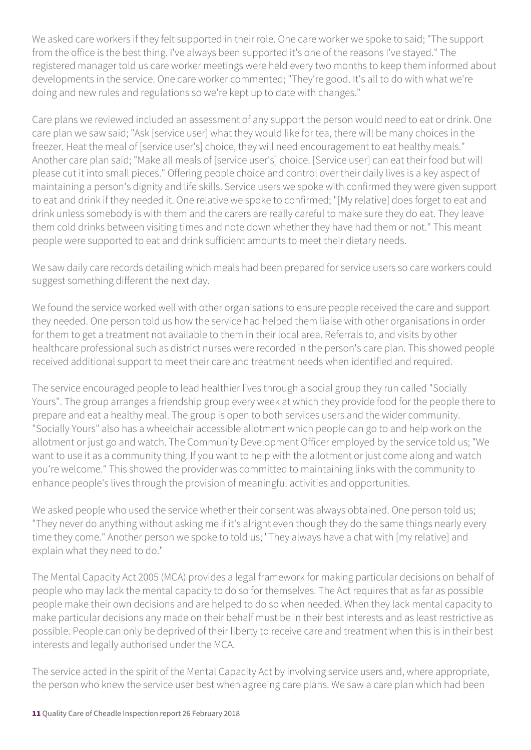We asked care workers if they felt supported in their role. One care worker we spoke to said; "The support from the office is the best thing. I've always been supported it's one of the reasons I've stayed." The registered manager told us care worker meetings were held every two months to keep them informed about developments in the service. One care worker commented; "They're good. It's all to do with what we're doing and new rules and regulations so we're kept up to date with changes."

Care plans we reviewed included an assessment of any support the person would need to eat or drink. One care plan we saw said; "Ask [service user] what they would like for tea, there will be many choices in the freezer. Heat the meal of [service user's] choice, they will need encouragement to eat healthy meals." Another care plan said; "Make all meals of [service user's] choice. [Service user] can eat their food but will please cut it into small pieces." Offering people choice and control over their daily lives is a key aspect of maintaining a person's dignity and life skills. Service users we spoke with confirmed they were given support to eat and drink if they needed it. One relative we spoke to confirmed; "[My relative] does forget to eat and drink unless somebody is with them and the carers are really careful to make sure they do eat. They leave them cold drinks between visiting times and note down whether they have had them or not." This meant people were supported to eat and drink sufficient amounts to meet their dietary needs.

We saw daily care records detailing which meals had been prepared for service users so care workers could suggest something different the next day.

We found the service worked well with other organisations to ensure people received the care and support they needed. One person told us how the service had helped them liaise with other organisations in order for them to get a treatment not available to them in their local area. Referrals to, and visits by other healthcare professional such as district nurses were recorded in the person's care plan. This showed people received additional support to meet their care and treatment needs when identified and required.

The service encouraged people to lead healthier lives through a social group they run called "Socially Yours". The group arranges a friendship group every week at which they provide food for the people there to prepare and eat a healthy meal. The group is open to both services users and the wider community. "Socially Yours" also has a wheelchair accessible allotment which people can go to and help work on the allotment or just go and watch. The Community Development Officer employed by the service told us; "We want to use it as a community thing. If you want to help with the allotment or just come along and watch you're welcome." This showed the provider was committed to maintaining links with the community to enhance people's lives through the provision of meaningful activities and opportunities.

We asked people who used the service whether their consent was always obtained. One person told us; "They never do anything without asking me if it's alright even though they do the same things nearly every time they come." Another person we spoke to told us; "They always have a chat with [my relative] and explain what they need to do."

The Mental Capacity Act 2005 (MCA) provides a legal framework for making particular decisions on behalf of people who may lack the mental capacity to do so for themselves. The Act requires that as far as possible people make their own decisions and are helped to do so when needed. When they lack mental capacity to make particular decisions any made on their behalf must be in their best interests and as least restrictive as possible. People can only be deprived of their liberty to receive care and treatment when this is in their best interests and legally authorised under the MCA.

The service acted in the spirit of the Mental Capacity Act by involving service users and, where appropriate, the person who knew the service user best when agreeing care plans. We saw a care plan which had been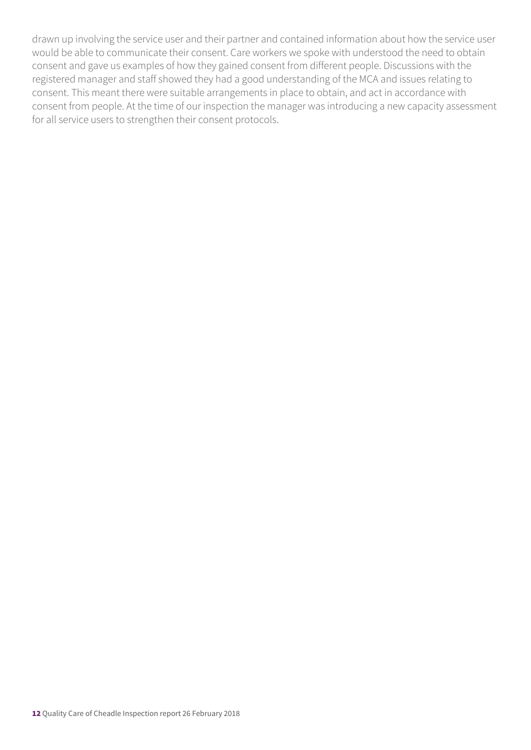drawn up involving the service user and their partner and contained information about how the service user would be able to communicate their consent. Care workers we spoke with understood the need to obtain consent and gave us examples of how they gained consent from different people. Discussions with the registered manager and staff showed they had a good understanding of the MCA and issues relating to consent. This meant there were suitable arrangements in place to obtain, and act in accordance with consent from people. At the time of our inspection the manager was introducing a new capacity assessment for all service users to strengthen their consent protocols.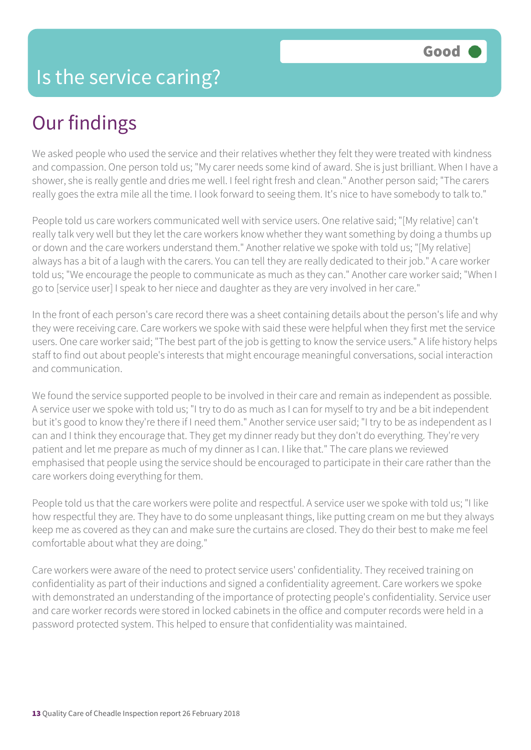# Our findings

We asked people who used the service and their relatives whether they felt they were treated with kindness and compassion. One person told us; "My carer needs some kind of award. She is just brilliant. When I have a shower, she is really gentle and dries me well. I feel right fresh and clean." Another person said; "The carers really goes the extra mile all the time. I look forward to seeing them. It's nice to have somebody to talk to."

People told us care workers communicated well with service users. One relative said; "[My relative] can't really talk very well but they let the care workers know whether they want something by doing a thumbs up or down and the care workers understand them." Another relative we spoke with told us; "[My relative] always has a bit of a laugh with the carers. You can tell they are really dedicated to their job." A care worker told us; "We encourage the people to communicate as much as they can." Another care worker said; "When I go to [service user] I speak to her niece and daughter as they are very involved in her care."

In the front of each person's care record there was a sheet containing details about the person's life and why they were receiving care. Care workers we spoke with said these were helpful when they first met the service users. One care worker said; "The best part of the job is getting to know the service users." A life history helps staff to find out about people's interests that might encourage meaningful conversations, social interaction and communication.

We found the service supported people to be involved in their care and remain as independent as possible. A service user we spoke with told us; "I try to do as much as I can for myself to try and be a bit independent but it's good to know they're there if I need them." Another service user said; "I try to be as independent as I can and I think they encourage that. They get my dinner ready but they don't do everything. They're very patient and let me prepare as much of my dinner as I can. I like that." The care plans we reviewed emphasised that people using the service should be encouraged to participate in their care rather than the care workers doing everything for them.

People told us that the care workers were polite and respectful. A service user we spoke with told us; "I like how respectful they are. They have to do some unpleasant things, like putting cream on me but they always keep me as covered as they can and make sure the curtains are closed. They do their best to make me feel comfortable about what they are doing."

Care workers were aware of the need to protect service users' confidentiality. They received training on confidentiality as part of their inductions and signed a confidentiality agreement. Care workers we spoke with demonstrated an understanding of the importance of protecting people's confidentiality. Service user and care worker records were stored in locked cabinets in the office and computer records were held in a password protected system. This helped to ensure that confidentiality was maintained.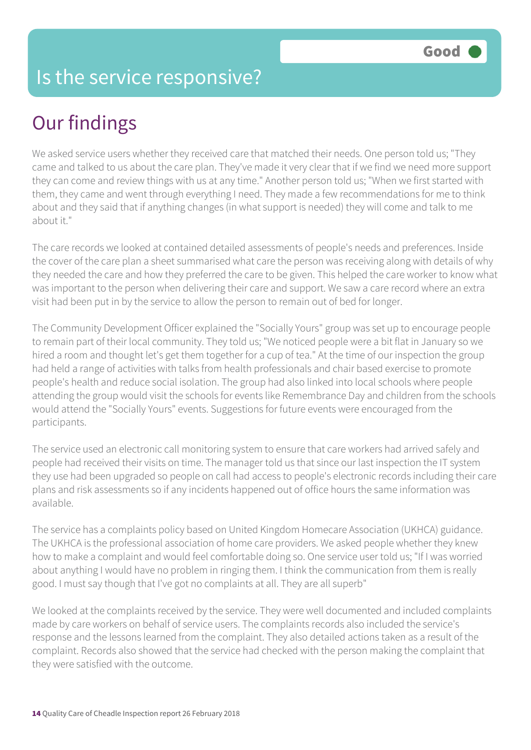## Is the service responsive?

# Our findings

We asked service users whether they received care that matched their needs. One person told us; "They came and talked to us about the care plan. They've made it very clear that if we find we need more support they can come and review things with us at any time." Another person told us; "When we first started with them, they came and went through everything I need. They made a few recommendations for me to think about and they said that if anything changes (in what support is needed) they will come and talk to me about it."

The care records we looked at contained detailed assessments of people's needs and preferences. Inside the cover of the care plan a sheet summarised what care the person was receiving along with details of why they needed the care and how they preferred the care to be given. This helped the care worker to know what was important to the person when delivering their care and support. We saw a care record where an extra visit had been put in by the service to allow the person to remain out of bed for longer.

The Community Development Officer explained the "Socially Yours" group was set up to encourage people to remain part of their local community. They told us; "We noticed people were a bit flat in January so we hired a room and thought let's get them together for a cup of tea." At the time of our inspection the group had held a range of activities with talks from health professionals and chair based exercise to promote people's health and reduce social isolation. The group had also linked into local schools where people attending the group would visit the schools for events like Remembrance Day and children from the schools would attend the "Socially Yours" events. Suggestions for future events were encouraged from the participants.

The service used an electronic call monitoring system to ensure that care workers had arrived safely and people had received their visits on time. The manager told us that since our last inspection the IT system they use had been upgraded so people on call had access to people's electronic records including their care plans and risk assessments so if any incidents happened out of office hours the same information was available.

The service has a complaints policy based on United Kingdom Homecare Association (UKHCA) guidance. The UKHCA is the professional association of home care providers. We asked people whether they knew how to make a complaint and would feel comfortable doing so. One service user told us; "If I was worried about anything I would have no problem in ringing them. I think the communication from them is really good. I must say though that I've got no complaints at all. They are all superb"

We looked at the complaints received by the service. They were well documented and included complaints made by care workers on behalf of service users. The complaints records also included the service's response and the lessons learned from the complaint. They also detailed actions taken as a result of the complaint. Records also showed that the service had checked with the person making the complaint that they were satisfied with the outcome.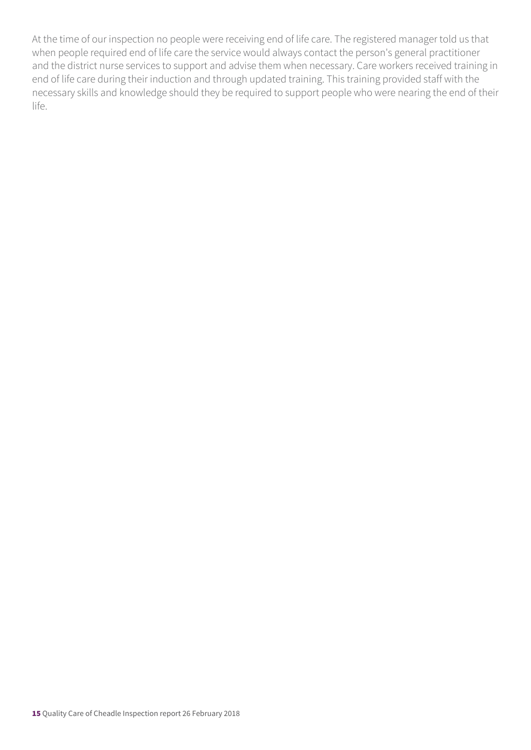At the time of our inspection no people were receiving end of life care. The registered manager told us that when people required end of life care the service would always contact the person's general practitioner and the district nurse services to support and advise them when necessary. Care workers received training in end of life care during their induction and through updated training. This training provided staff with the necessary skills and knowledge should they be required to support people who were nearing the end of their life.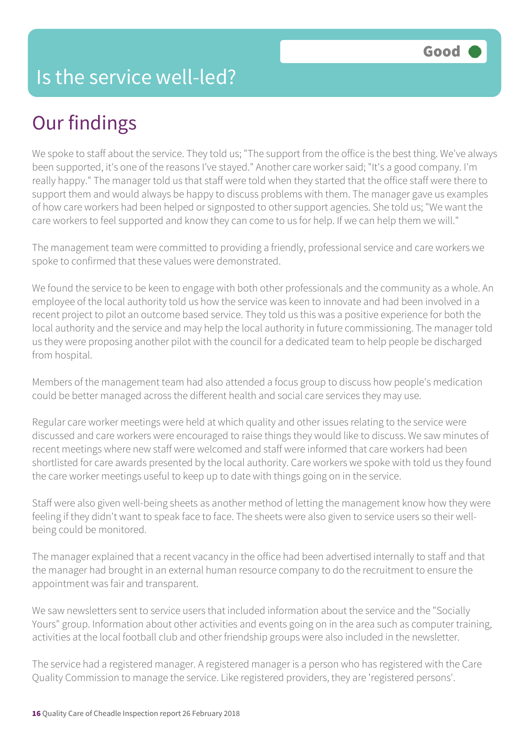# Our findings

We spoke to staff about the service. They told us; "The support from the office is the best thing. We've always been supported, it's one of the reasons I've stayed." Another care worker said; "It's a good company. I'm really happy." The manager told us that staff were told when they started that the office staff were there to support them and would always be happy to discuss problems with them. The manager gave us examples of how care workers had been helped or signposted to other support agencies. She told us; "We want the care workers to feel supported and know they can come to us for help. If we can help them we will."

The management team were committed to providing a friendly, professional service and care workers we spoke to confirmed that these values were demonstrated.

We found the service to be keen to engage with both other professionals and the community as a whole. An employee of the local authority told us how the service was keen to innovate and had been involved in a recent project to pilot an outcome based service. They told us this was a positive experience for both the local authority and the service and may help the local authority in future commissioning. The manager told us they were proposing another pilot with the council for a dedicated team to help people be discharged from hospital.

Members of the management team had also attended a focus group to discuss how people's medication could be better managed across the different health and social care services they may use.

Regular care worker meetings were held at which quality and other issues relating to the service were discussed and care workers were encouraged to raise things they would like to discuss. We saw minutes of recent meetings where new staff were welcomed and staff were informed that care workers had been shortlisted for care awards presented by the local authority. Care workers we spoke with told us they found the care worker meetings useful to keep up to date with things going on in the service.

Staff were also given well-being sheets as another method of letting the management know how they were feeling if they didn't want to speak face to face. The sheets were also given to service users so their wellbeing could be monitored.

The manager explained that a recent vacancy in the office had been advertised internally to staff and that the manager had brought in an external human resource company to do the recruitment to ensure the appointment was fair and transparent.

We saw newsletters sent to service users that included information about the service and the "Socially Yours" group. Information about other activities and events going on in the area such as computer training, activities at the local football club and other friendship groups were also included in the newsletter.

The service had a registered manager. A registered manager is a person who has registered with the Care Quality Commission to manage the service. Like registered providers, they are 'registered persons'.